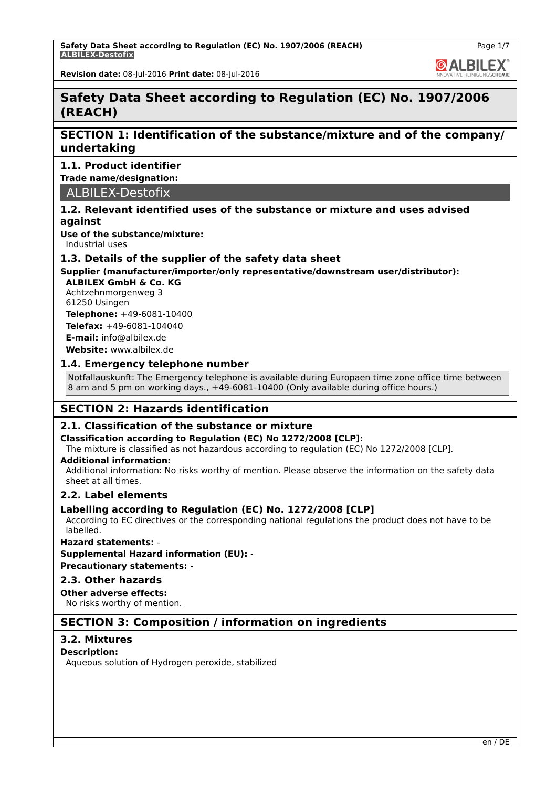**GALBILEX** 

**Revision date:** 08-Jul-2016 **Print date:** 08-Jul-2016

# **Safety Data Sheet according to Regulation (EC) No. 1907/2006 (REACH)**

# **SECTION 1: Identification of the substance/mixture and of the company/ undertaking**

### **1.1. Product identifier**

**Trade name/designation:**

ALBILEX-Destofix

### **1.2. Relevant identified uses of the substance or mixture and uses advised against**

**Use of the substance/mixture:**

Industrial uses

### **1.3. Details of the supplier of the safety data sheet**

# **Supplier (manufacturer/importer/only representative/downstream user/distributor):**

**ALBILEX GmbH & Co. KG** Achtzehnmorgenweg 3 61250 Usingen

**Telephone:** +49-6081-10400 **Telefax:** +49-6081-104040

**E-mail:** info@albilex.de

**Website:** www.albilex.de

### **1.4. Emergency telephone number**

Notfallauskunft: The Emergency telephone is available during Europaen time zone office time between 8 am and 5 pm on working days., +49-6081-10400 (Only available during office hours.)

# **SECTION 2: Hazards identification**

### **2.1. Classification of the substance or mixture**

### **Classification according to Regulation (EC) No 1272/2008 [CLP]:**

The mixture is classified as not hazardous according to regulation (EC) No 1272/2008 [CLP].

#### **Additional information:**

Additional information: No risks worthy of mention. Please observe the information on the safety data sheet at all times.

### **2.2. Label elements**

### **Labelling according to Regulation (EC) No. 1272/2008 [CLP]**

According to EC directives or the corresponding national regulations the product does not have to be labelled.

### **Hazard statements:** -

**Supplemental Hazard information (EU):** -

**Precautionary statements:** -

### **2.3. Other hazards**

### **Other adverse effects:**

No risks worthy of mention.

# **SECTION 3: Composition / information on ingredients**

### **3.2. Mixtures**

### **Description:**

Aqueous solution of Hydrogen peroxide, stabilized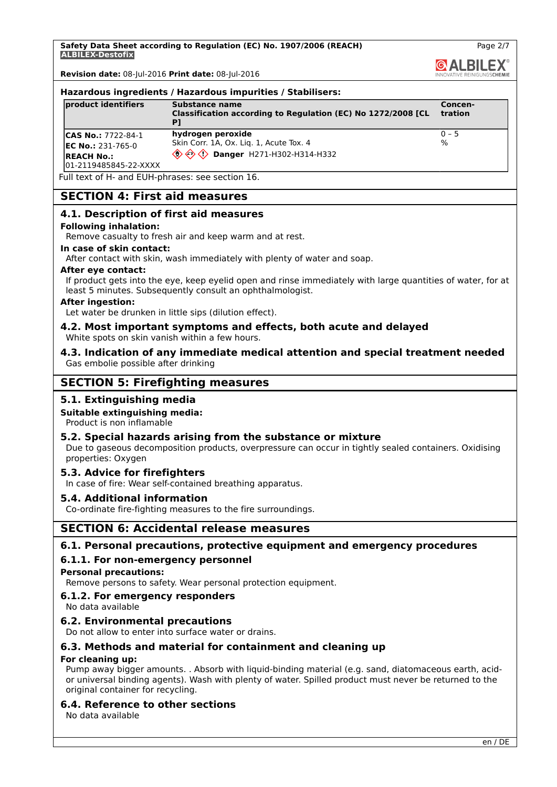**Safety Data Sheet according to Regulation (EC) No. 1907/2006 (REACH) ALBILEX-Destofix**

**Revision date:** 08-Jul-2016 **Print date:** 08-Jul-2016

#### **Hazardous ingredients / Hazardous impurities / Stabilisers:**

| product identifiers                                                                             | Substance name<br>Classification according to Regulation (EC) No 1272/2008 [CL                                                                               | Concen-<br><b>tration</b>  |
|-------------------------------------------------------------------------------------------------|--------------------------------------------------------------------------------------------------------------------------------------------------------------|----------------------------|
| <b>CAS No.: 7722-84-1</b><br>$EC No.: 231-765-0$<br><b>IREACH No.:</b><br>01-2119485845-22-XXXX | hydrogen peroxide<br>Skin Corr. 1A, Ox. Liq. 1, Acute Tox. 4<br>$\langle \hat{\mathbb{O}} \hat{\otimes} \hat{\mathbb{O}} \rangle$ Danger H271-H302-H314-H332 | $ 0 - 5 $<br>$\frac{1}{6}$ |

Full text of H- and EUH-phrases: see section 16.

## **SECTION 4: First aid measures**

### **4.1. Description of first aid measures**

#### **Following inhalation:**

Remove casualty to fresh air and keep warm and at rest.

#### **In case of skin contact:**

After contact with skin, wash immediately with plenty of water and soap.

#### **After eye contact:**

If product gets into the eye, keep eyelid open and rinse immediately with large quantities of water, for at least 5 minutes. Subsequently consult an ophthalmologist.

#### **After ingestion:**

Let water be drunken in little sips (dilution effect).

#### **4.2. Most important symptoms and effects, both acute and delayed** White spots on skin vanish within a few hours.

**4.3. Indication of any immediate medical attention and special treatment needed** Gas embolie possible after drinking

# **SECTION 5: Firefighting measures**

### **5.1. Extinguishing media**

#### **Suitable extinguishing media:**

Product is non inflamable

### **5.2. Special hazards arising from the substance or mixture**

Due to gaseous decomposition products, overpressure can occur in tightly sealed containers. Oxidising properties: Oxygen

#### **5.3. Advice for firefighters**

In case of fire: Wear self-contained breathing apparatus.

### **5.4. Additional information**

Co-ordinate fire-fighting measures to the fire surroundings.

# **SECTION 6: Accidental release measures**

### **6.1. Personal precautions, protective equipment and emergency procedures**

### **6.1.1. For non-emergency personnel**

**Personal precautions:**

Remove persons to safety. Wear personal protection equipment.

#### **6.1.2. For emergency responders**

No data available

### **6.2. Environmental precautions**

Do not allow to enter into surface water or drains.

### **6.3. Methods and material for containment and cleaning up**

#### **For cleaning up:**

Pump away bigger amounts. . Absorb with liquid-binding material (e.g. sand, diatomaceous earth, acidor universal binding agents). Wash with plenty of water. Spilled product must never be returned to the original container for recycling.

### **6.4. Reference to other sections**

No data available

Page 2/7

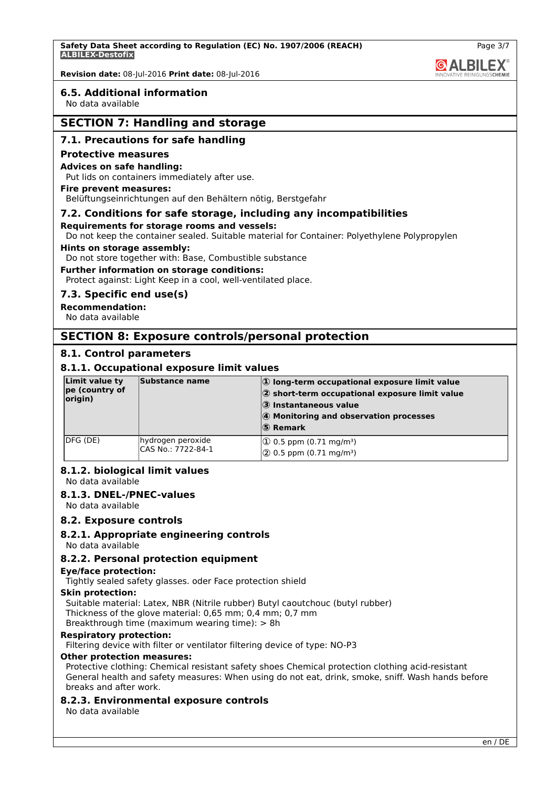### **6.5. Additional information**

No data available

# **SECTION 7: Handling and storage**

### **7.1. Precautions for safe handling**

#### **Protective measures**

#### **Advices on safe handling:**

Put lids on containers immediately after use.

### **Fire prevent measures:**

Belüftungseinrichtungen auf den Behältern nötig, Berstgefahr

#### **7.2. Conditions for safe storage, including any incompatibilities**

#### **Requirements for storage rooms and vessels:**

Do not keep the container sealed. Suitable material for Container: Polyethylene Polypropylen

#### **Hints on storage assembly:**

Do not store together with: Base, Combustible substance

#### **Further information on storage conditions:**

Protect against: Light Keep in a cool, well-ventilated place.

#### **7.3. Specific end use(s)**

### **Recommendation:**

No data available

### **SECTION 8: Exposure controls/personal protection**

#### **8.1. Control parameters**

### **8.1.1. Occupational exposure limit values**

| Limit value ty<br>pe (country of<br>origin) | Substance name                          | $ 0\rangle$ long-term occupational exposure limit value<br>$ 2$ short-term occupational exposure limit value<br>3 Instantaneous value<br>4 Monitoring and observation processes<br>$ S\rangle$ Remark |
|---------------------------------------------|-----------------------------------------|-------------------------------------------------------------------------------------------------------------------------------------------------------------------------------------------------------|
| IDFG (DE)                                   | hydrogen peroxide<br>CAS No.: 7722-84-1 | $ 0.5$ ppm $(0.71 \text{ mg/m}^3)$<br>$\sqrt{2}$ 0.5 ppm (0.71 mg/m <sup>3</sup> )                                                                                                                    |

#### **8.1.2. biological limit values**

No data available

#### **8.1.3. DNEL-/PNEC-values**

No data available

#### **8.2. Exposure controls**

#### **8.2.1. Appropriate engineering controls**

No data available

#### **8.2.2. Personal protection equipment**

#### **Eye/face protection:**

Tightly sealed safety glasses. oder Face protection shield

#### **Skin protection:**

Suitable material: Latex, NBR (Nitrile rubber) Butyl caoutchouc (butyl rubber) Thickness of the glove material: 0,65 mm; 0,4 mm; 0,7 mm

Breakthrough time (maximum wearing time): > 8h

### **Respiratory protection:**

Filtering device with filter or ventilator filtering device of type: NO-P3

#### **Other protection measures:**

Protective clothing: Chemical resistant safety shoes Chemical protection clothing acid-resistant General health and safety measures: When using do not eat, drink, smoke, sniff. Wash hands before breaks and after work.

#### **8.2.3. Environmental exposure controls**

No data available

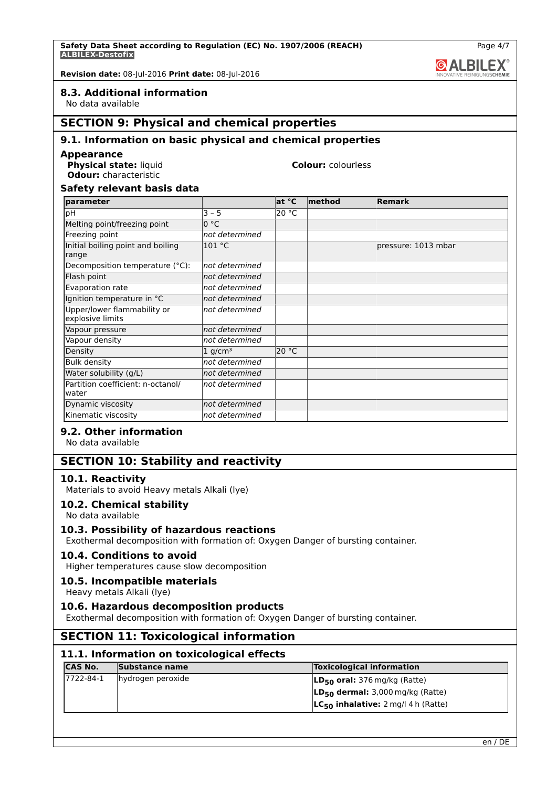### **8.3. Additional information**

No data available

# **SECTION 9: Physical and chemical properties**

### **9.1. Information on basic physical and chemical properties**

#### **Appearance**

**Physical state:** liquid **Colour:** colourless **Odour:** characteristic

### **Safety relevant basis data**

| parameter                                       |                | at °C | $ $ method | <b>Remark</b>       |
|-------------------------------------------------|----------------|-------|------------|---------------------|
| рH                                              | $3 - 5$        | 20 °C |            |                     |
| Melting point/freezing point                    | 0 °C           |       |            |                     |
| Freezing point                                  | not determined |       |            |                     |
| Initial boiling point and boiling<br>range      | 101 °C         |       |            | pressure: 1013 mbar |
| Decomposition temperature (°C):                 | not determined |       |            |                     |
| Flash point                                     | not determined |       |            |                     |
| Evaporation rate                                | not determined |       |            |                     |
| Ignition temperature in °C                      | not determined |       |            |                     |
| Upper/lower flammability or<br>explosive limits | not determined |       |            |                     |
| Vapour pressure                                 | not determined |       |            |                     |
| Vapour density                                  | not determined |       |            |                     |
| Density                                         | 1 $q/cm^3$     | 20 °C |            |                     |
| <b>Bulk density</b>                             | not determined |       |            |                     |
| Water solubility (g/L)                          | not determined |       |            |                     |
| Partition coefficient: n-octanol/<br>water      | not determined |       |            |                     |
| Dynamic viscosity                               | not determined |       |            |                     |
| Kinematic viscosity                             | not determined |       |            |                     |

### **9.2. Other information**

No data available

### **SECTION 10: Stability and reactivity**

### **10.1. Reactivity**

Materials to avoid Heavy metals Alkali (lye)

**10.2. Chemical stability**

# No data available

#### **10.3. Possibility of hazardous reactions**

Exothermal decomposition with formation of: Oxygen Danger of bursting container.

#### **10.4. Conditions to avoid**

Higher temperatures cause slow decomposition

### **10.5. Incompatible materials**

Heavy metals Alkali (lye)

#### **10.6. Hazardous decomposition products**

Exothermal decomposition with formation of: Oxygen Danger of bursting container.

### **SECTION 11: Toxicological information**

### **11.1. Information on toxicological effects**

| <b>CAS No.</b> | <b>Substance name</b> | <b>Toxicological information</b>         |
|----------------|-----------------------|------------------------------------------|
| 17722-84-1     | hydrogen peroxide     | $LD_{50}$ oral: 376 mg/kg (Ratte)        |
|                |                       | $LD_{50}$ dermal: 3,000 mg/kg (Ratte)    |
|                |                       | $LC_{50}$ inhalative: 2 mg/l 4 h (Ratte) |

Page 4/7

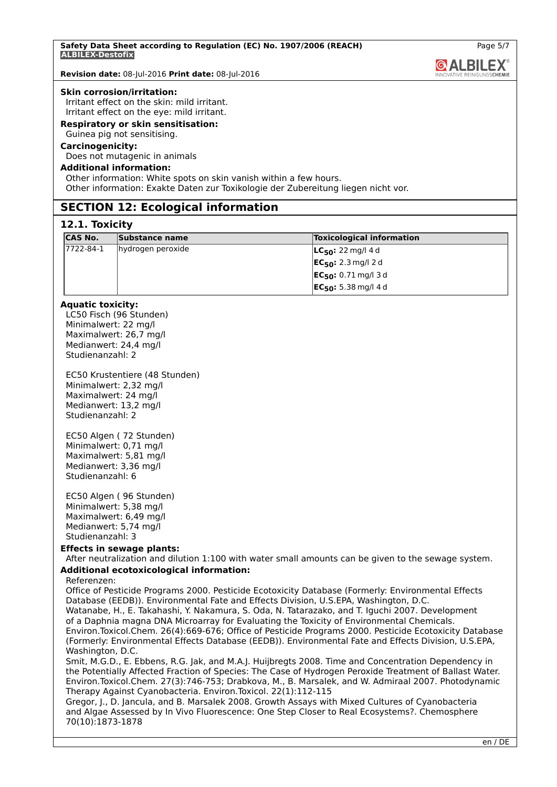#### **Skin corrosion/irritation:**

Irritant effect on the skin: mild irritant. Irritant effect on the eye: mild irritant.

# **Respiratory or skin sensitisation:**

Guinea pig not sensitising.

### **Carcinogenicity:**

Does not mutagenic in animals

### **Additional information:**

Other information: White spots on skin vanish within a few hours. Other information: Exakte Daten zur Toxikologie der Zubereitung liegen nicht vor.

### **SECTION 12: Ecological information**

#### **12.1. Toxicity**

| <b>CAS No.</b> | Substance name    | <b>Toxicological information</b>     |
|----------------|-------------------|--------------------------------------|
| 17722-84-1     | hydrogen peroxide | <b>LC<sub>50</sub>:</b> 22 mg/l 4 d  |
|                |                   | <b>EC<sub>50</sub>:</b> 2.3 mg/l 2 d |
|                |                   | $EC_{50}: 0.71$ mg/l 3d              |
|                |                   | $EC_{50}$ : 5.38 mg/l 4 d            |

### **Aquatic toxicity:**

LC50 Fisch (96 Stunden) Minimalwert: 22 mg/l Maximalwert: 26,7 mg/l Medianwert: 24,4 mg/l Studienanzahl: 2

EC50 Krustentiere (48 Stunden) Minimalwert: 2,32 mg/l Maximalwert: 24 mg/l Medianwert: 13,2 mg/l Studienanzahl: 2

EC50 Algen ( 72 Stunden) Minimalwert: 0,71 mg/l Maximalwert: 5,81 mg/l Medianwert: 3,36 mg/l Studienanzahl: 6

EC50 Algen ( 96 Stunden) Minimalwert: 5,38 mg/l Maximalwert: 6,49 mg/l Medianwert: 5,74 mg/l Studienanzahl: 3

## **Effects in sewage plants:**

After neutralization and dilution 1:100 with water small amounts can be given to the sewage system. **Additional ecotoxicological information:**

#### Referenzen:

Office of Pesticide Programs 2000. Pesticide Ecotoxicity Database (Formerly: Environmental Effects Database (EEDB)). Environmental Fate and Effects Division, U.S.EPA, Washington, D.C. Watanabe, H., E. Takahashi, Y. Nakamura, S. Oda, N. Tatarazako, and T. Iguchi 2007. Development of a Daphnia magna DNA Microarray for Evaluating the Toxicity of Environmental Chemicals. Environ.Toxicol.Chem. 26(4):669-676; Office of Pesticide Programs 2000. Pesticide Ecotoxicity Database (Formerly: Environmental Effects Database (EEDB)). Environmental Fate and Effects Division, U.S.EPA, Washington, D.C.

Smit, M.G.D., E. Ebbens, R.G. Jak, and M.A.J. Huijbregts 2008. Time and Concentration Dependency in the Potentially Affected Fraction of Species: The Case of Hydrogen Peroxide Treatment of Ballast Water. Environ.Toxicol.Chem. 27(3):746-753; Drabkova, M., B. Marsalek, and W. Admiraal 2007. Photodynamic Therapy Against Cyanobacteria. Environ.Toxicol. 22(1):112-115

Gregor, J., D. Jancula, and B. Marsalek 2008. Growth Assays with Mixed Cultures of Cyanobacteria and Algae Assessed by In Vivo Fluorescence: One Step Closer to Real Ecosystems?. Chemosphere 70(10):1873-1878

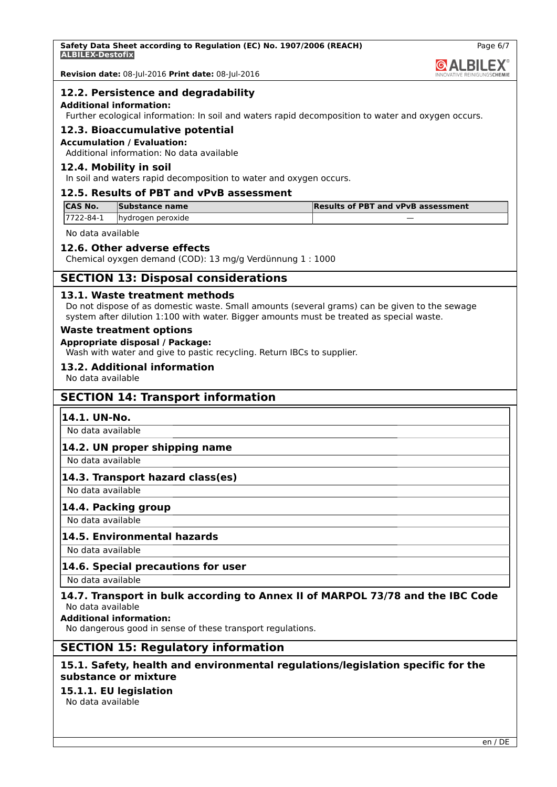

Page 6/7

**Revision date:** 08-Jul-2016 **Print date:** 08-Jul-2016

### **12.2. Persistence and degradability**

#### **Additional information:**

Further ecological information: In soil and waters rapid decomposition to water and oxygen occurs.

### **12.3. Bioaccumulative potential**

#### **Accumulation / Evaluation:**

Additional information: No data available

### **12.4. Mobility in soil**

In soil and waters rapid decomposition to water and oxygen occurs.

### **12.5. Results of PBT and vPvB assessment**

| <b>ICAS No.</b> | Substance name    | <b>Results of PBT and vPvB assessment</b> |
|-----------------|-------------------|-------------------------------------------|
| 17722-84-1      | hydrogen peroxide |                                           |

No data available

### **12.6. Other adverse effects**

Chemical oyxgen demand (COD): 13 mg/g Verdünnung 1 : 1000

### **SECTION 13: Disposal considerations**

#### **13.1. Waste treatment methods**

Do not dispose of as domestic waste. Small amounts (several grams) can be given to the sewage system after dilution 1:100 with water. Bigger amounts must be treated as special waste.

#### **Waste treatment options**

#### **Appropriate disposal / Package:**

Wash with water and give to pastic recycling. Return IBCs to supplier.

### **13.2. Additional information**

No data available

### **SECTION 14: Transport information**

#### **14.1. UN-No.**

No data available

### **14.2. UN proper shipping name**

No data available

### **14.3. Transport hazard class(es)**

No data available

### **14.4. Packing group**

No data available

## **14.5. Environmental hazards**

No data available

### **14.6. Special precautions for user**

No data available

### **14.7. Transport in bulk according to Annex II of MARPOL 73/78 and the IBC Code** No data available

**Additional information:**

No dangerous good in sense of these transport regulations.

### **SECTION 15: Regulatory information**

### **15.1. Safety, health and environmental regulations/legislation specific for the substance or mixture**

# **15.1.1. EU legislation**

No data available